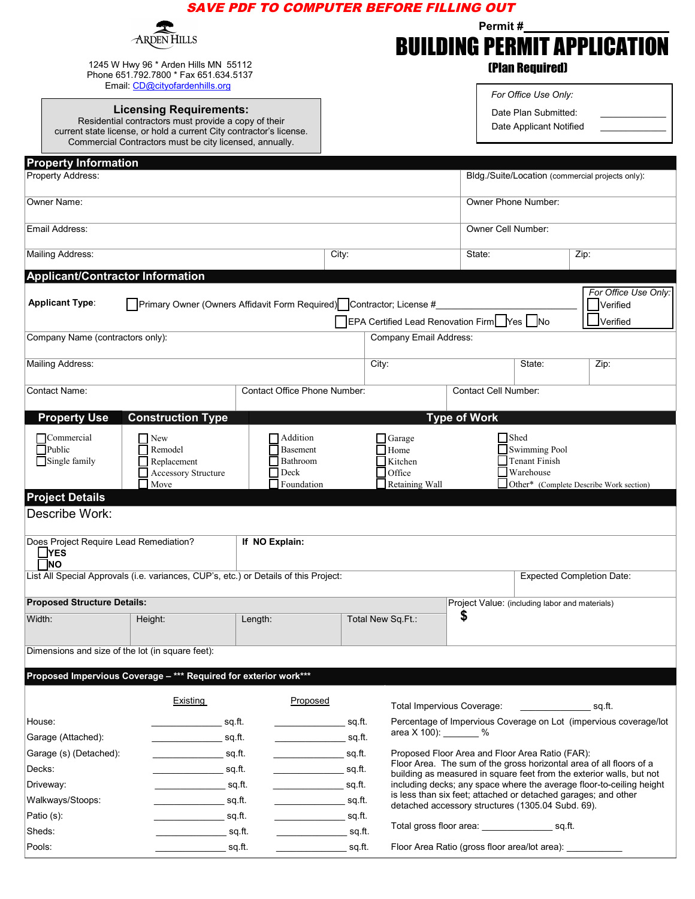|                                                                                                                             |                                                                                                                                                                                                                                    | <b>SAVE PDF TO COMPUTER BEFORE FILLING OUT</b>                                                                                   |                                    |                                                                                                                        |                                                                                                                                        |                        |                                                  |  |
|-----------------------------------------------------------------------------------------------------------------------------|------------------------------------------------------------------------------------------------------------------------------------------------------------------------------------------------------------------------------------|----------------------------------------------------------------------------------------------------------------------------------|------------------------------------|------------------------------------------------------------------------------------------------------------------------|----------------------------------------------------------------------------------------------------------------------------------------|------------------------|--------------------------------------------------|--|
|                                                                                                                             |                                                                                                                                                                                                                                    |                                                                                                                                  |                                    |                                                                                                                        | Permit#                                                                                                                                |                        |                                                  |  |
| HILLS                                                                                                                       |                                                                                                                                                                                                                                    |                                                                                                                                  | <b>BUILDING PERMIT APPLICATION</b> |                                                                                                                        |                                                                                                                                        |                        |                                                  |  |
| 1245 W Hwy 96 * Arden Hills MN 55112<br>Phone 651.792.7800 * Fax 651.634.5137<br>Email: CD@cityofardenhills.org             |                                                                                                                                                                                                                                    |                                                                                                                                  |                                    |                                                                                                                        |                                                                                                                                        | <b>(Plan Required)</b> |                                                  |  |
|                                                                                                                             |                                                                                                                                                                                                                                    |                                                                                                                                  |                                    |                                                                                                                        |                                                                                                                                        | For Office Use Only:   |                                                  |  |
| <b>Licensing Requirements:</b>                                                                                              |                                                                                                                                                                                                                                    |                                                                                                                                  |                                    |                                                                                                                        |                                                                                                                                        | Date Plan Submitted:   |                                                  |  |
| Residential contractors must provide a copy of their<br>current state license, or hold a current City contractor's license. |                                                                                                                                                                                                                                    |                                                                                                                                  |                                    |                                                                                                                        | Date Applicant Notified                                                                                                                |                        |                                                  |  |
|                                                                                                                             | Commercial Contractors must be city licensed, annually.                                                                                                                                                                            |                                                                                                                                  |                                    |                                                                                                                        |                                                                                                                                        |                        |                                                  |  |
| <b>Property Information</b>                                                                                                 |                                                                                                                                                                                                                                    |                                                                                                                                  |                                    |                                                                                                                        |                                                                                                                                        |                        |                                                  |  |
| Property Address:                                                                                                           |                                                                                                                                                                                                                                    |                                                                                                                                  |                                    |                                                                                                                        |                                                                                                                                        |                        | Bldg./Suite/Location (commercial projects only): |  |
| Owner Name:                                                                                                                 |                                                                                                                                                                                                                                    |                                                                                                                                  |                                    |                                                                                                                        | Owner Phone Number:                                                                                                                    |                        |                                                  |  |
|                                                                                                                             |                                                                                                                                                                                                                                    |                                                                                                                                  |                                    |                                                                                                                        |                                                                                                                                        |                        |                                                  |  |
| Email Address:                                                                                                              |                                                                                                                                                                                                                                    |                                                                                                                                  |                                    |                                                                                                                        | Owner Cell Number:                                                                                                                     |                        |                                                  |  |
| Mailing Address:                                                                                                            |                                                                                                                                                                                                                                    |                                                                                                                                  | City:                              |                                                                                                                        | State:                                                                                                                                 |                        | Zip:                                             |  |
| <b>Applicant/Contractor Information</b>                                                                                     |                                                                                                                                                                                                                                    |                                                                                                                                  |                                    |                                                                                                                        |                                                                                                                                        |                        |                                                  |  |
|                                                                                                                             |                                                                                                                                                                                                                                    |                                                                                                                                  |                                    |                                                                                                                        |                                                                                                                                        |                        | For Office Use Only:                             |  |
| <b>Applicant Type:</b><br>Primary Owner (Owners Affidavit Form Required) Contractor; License #                              |                                                                                                                                                                                                                                    |                                                                                                                                  |                                    |                                                                                                                        |                                                                                                                                        |                        | Verified                                         |  |
|                                                                                                                             |                                                                                                                                                                                                                                    |                                                                                                                                  |                                    |                                                                                                                        | EPA Certified Lead Renovation Firm Fyes   No<br>$J$ Verified                                                                           |                        |                                                  |  |
| Company Name (contractors only):                                                                                            |                                                                                                                                                                                                                                    |                                                                                                                                  |                                    | <b>Company Email Address:</b>                                                                                          |                                                                                                                                        |                        |                                                  |  |
| Mailing Address:                                                                                                            |                                                                                                                                                                                                                                    |                                                                                                                                  |                                    | City:                                                                                                                  |                                                                                                                                        | State:                 | Zip:                                             |  |
| <b>Contact Name:</b>                                                                                                        |                                                                                                                                                                                                                                    | Contact Office Phone Number:                                                                                                     |                                    |                                                                                                                        | Contact Cell Number:                                                                                                                   |                        |                                                  |  |
|                                                                                                                             |                                                                                                                                                                                                                                    |                                                                                                                                  |                                    |                                                                                                                        |                                                                                                                                        |                        |                                                  |  |
| <b>Property Use</b>                                                                                                         | <b>Construction Type</b>                                                                                                                                                                                                           |                                                                                                                                  |                                    |                                                                                                                        | <b>Type of Work</b>                                                                                                                    |                        |                                                  |  |
| Commercial                                                                                                                  | $\Box$ New                                                                                                                                                                                                                         | Addition                                                                                                                         |                                    | Garage                                                                                                                 |                                                                                                                                        | <b>Shed</b>            |                                                  |  |
| Single family                                                                                                               | $\Box$ Public<br>Remodel<br>Basement<br>Replacement<br>Bathroom                                                                                                                                                                    |                                                                                                                                  |                                    | Home<br>Kitchen                                                                                                        | <b>Swimming Pool</b><br><b>Tenant Finish</b>                                                                                           |                        |                                                  |  |
|                                                                                                                             | Accessory Structure                                                                                                                                                                                                                | Deck                                                                                                                             |                                    | Office                                                                                                                 |                                                                                                                                        | Warehouse              |                                                  |  |
| <b>Project Details</b>                                                                                                      | $\Box$ Move                                                                                                                                                                                                                        | Foundation                                                                                                                       |                                    | Retaining Wall                                                                                                         |                                                                                                                                        |                        | Other* (Complete Describe Work section)          |  |
| Describe Work:                                                                                                              |                                                                                                                                                                                                                                    |                                                                                                                                  |                                    |                                                                                                                        |                                                                                                                                        |                        |                                                  |  |
|                                                                                                                             |                                                                                                                                                                                                                                    |                                                                                                                                  |                                    |                                                                                                                        |                                                                                                                                        |                        |                                                  |  |
| Does Project Require Lead Remediation?<br><b>NES</b>                                                                        |                                                                                                                                                                                                                                    | If NO Explain:                                                                                                                   |                                    |                                                                                                                        |                                                                                                                                        |                        |                                                  |  |
| $\Box$ NO                                                                                                                   |                                                                                                                                                                                                                                    |                                                                                                                                  |                                    |                                                                                                                        |                                                                                                                                        |                        |                                                  |  |
|                                                                                                                             | List All Special Approvals (i.e. variances, CUP's, etc.) or Details of this Project:                                                                                                                                               |                                                                                                                                  |                                    |                                                                                                                        |                                                                                                                                        |                        | <b>Expected Completion Date:</b>                 |  |
| <b>Proposed Structure Details:</b>                                                                                          |                                                                                                                                                                                                                                    |                                                                                                                                  |                                    |                                                                                                                        | Project Value: (including labor and materials)                                                                                         |                        |                                                  |  |
| Width:<br>Length:<br>Height:                                                                                                |                                                                                                                                                                                                                                    |                                                                                                                                  |                                    | Total New Sq.Ft.:                                                                                                      | S                                                                                                                                      |                        |                                                  |  |
|                                                                                                                             |                                                                                                                                                                                                                                    |                                                                                                                                  |                                    |                                                                                                                        |                                                                                                                                        |                        |                                                  |  |
| Dimensions and size of the lot (in square feet):                                                                            |                                                                                                                                                                                                                                    |                                                                                                                                  |                                    |                                                                                                                        |                                                                                                                                        |                        |                                                  |  |
|                                                                                                                             | Proposed Impervious Coverage - *** Required for exterior work***                                                                                                                                                                   |                                                                                                                                  |                                    |                                                                                                                        |                                                                                                                                        |                        |                                                  |  |
|                                                                                                                             | Existing                                                                                                                                                                                                                           | Proposed                                                                                                                         |                                    |                                                                                                                        |                                                                                                                                        |                        |                                                  |  |
|                                                                                                                             |                                                                                                                                                                                                                                    |                                                                                                                                  |                                    |                                                                                                                        | Total Impervious Coverage: _______________________ sq.ft.                                                                              |                        |                                                  |  |
| House:                                                                                                                      |                                                                                                                                                                                                                                    | in the second second second second second second second second second second second second second second second<br>in the sq.ft. |                                    | Percentage of Impervious Coverage on Lot (impervious coverage/lot<br>area X 100): _______ %                            |                                                                                                                                        |                        |                                                  |  |
| Garage (Attached):                                                                                                          |                                                                                                                                                                                                                                    |                                                                                                                                  |                                    |                                                                                                                        |                                                                                                                                        |                        |                                                  |  |
| Garage (s) (Detached):<br>Decks:                                                                                            | in the second second second second second second second second second second second second second second second                                                                                                                    |                                                                                                                                  |                                    | Proposed Floor Area and Floor Area Ratio (FAR):<br>Floor Area. The sum of the gross horizontal area of all floors of a |                                                                                                                                        |                        |                                                  |  |
| Driveway:                                                                                                                   | in the set of the set of the set of the set of the set of the set of the set of the set of the set of the set o<br>in the second second second second second second second second second second second second second second second |                                                                                                                                  |                                    | building as measured in square feet from the exterior walls, but not                                                   |                                                                                                                                        |                        |                                                  |  |
| Walkways/Stoops:                                                                                                            | _____________________sq.ft.                                                                                                                                                                                                        | $\rule{1em}{0.15mm}$ sq.ft.                                                                                                      |                                    |                                                                                                                        | including decks; any space where the average floor-to-ceiling height<br>is less than six feet; attached or detached garages; and other |                        |                                                  |  |
| Patio (s):                                                                                                                  |                                                                                                                                                                                                                                    |                                                                                                                                  |                                    |                                                                                                                        | detached accessory structures (1305.04 Subd. 69).                                                                                      |                        |                                                  |  |
| Sheds:                                                                                                                      | _______________________ sq.ft.                                                                                                                                                                                                     |                                                                                                                                  |                                    |                                                                                                                        | Total gross floor area: ____________________ sq.ft.                                                                                    |                        |                                                  |  |
| Pools:                                                                                                                      | __________________sq.ft.                                                                                                                                                                                                           |                                                                                                                                  |                                    |                                                                                                                        | Floor Area Ratio (gross floor area/lot area): ____________                                                                             |                        |                                                  |  |
|                                                                                                                             |                                                                                                                                                                                                                                    |                                                                                                                                  |                                    |                                                                                                                        |                                                                                                                                        |                        |                                                  |  |